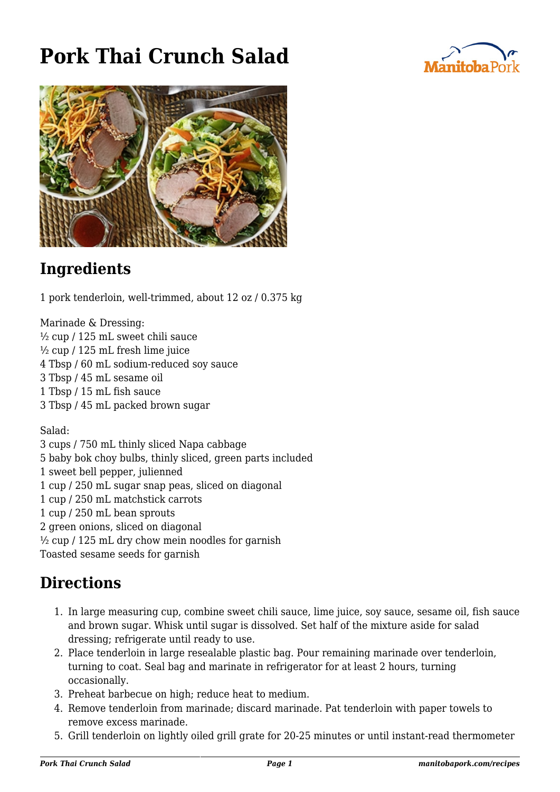## **Pork Thai Crunch Salad**





## **Ingredients**

1 pork tenderloin, well-trimmed, about 12 oz / 0.375 kg

Marinade & Dressing: ½ cup / 125 mL sweet chili sauce ½ cup / 125 mL fresh lime juice 4 Tbsp / 60 mL sodium-reduced soy sauce 3 Tbsp / 45 mL sesame oil 1 Tbsp / 15 mL fish sauce 3 Tbsp / 45 mL packed brown sugar

Salad:

3 cups / 750 mL thinly sliced Napa cabbage 5 baby bok choy bulbs, thinly sliced, green parts included 1 sweet bell pepper, julienned 1 cup / 250 mL sugar snap peas, sliced on diagonal 1 cup / 250 mL matchstick carrots 1 cup / 250 mL bean sprouts 2 green onions, sliced on diagonal  $\frac{1}{2}$  cup / 125 mL dry chow mein noodles for garnish Toasted sesame seeds for garnish

## **Directions**

- 1. In large measuring cup, combine sweet chili sauce, lime juice, soy sauce, sesame oil, fish sauce and brown sugar. Whisk until sugar is dissolved. Set half of the mixture aside for salad dressing; refrigerate until ready to use.
- 2. Place tenderloin in large resealable plastic bag. Pour remaining marinade over tenderloin, turning to coat. Seal bag and marinate in refrigerator for at least 2 hours, turning occasionally.
- 3. Preheat barbecue on high; reduce heat to medium.
- 4. Remove tenderloin from marinade; discard marinade. Pat tenderloin with paper towels to remove excess marinade.
- 5. Grill tenderloin on lightly oiled grill grate for 20-25 minutes or until instant-read thermometer